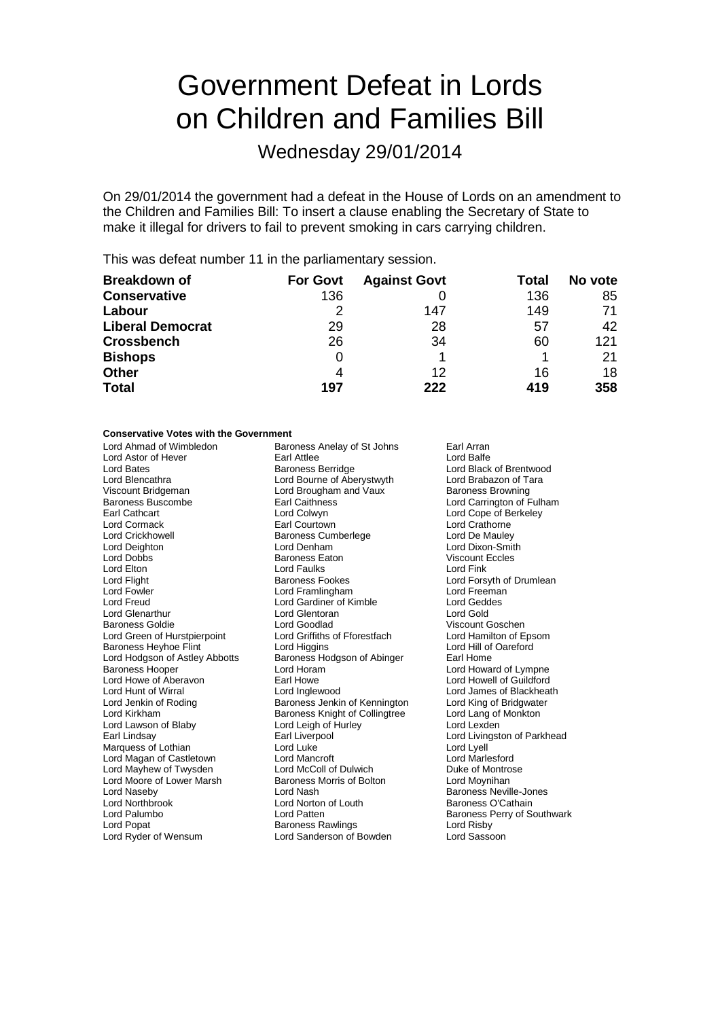# Government Defeat in Lords on Children and Families Bill

Wednesday 29/01/2014

On 29/01/2014 the government had a defeat in the House of Lords on an amendment to the Children and Families Bill: To insert a clause enabling the Secretary of State to make it illegal for drivers to fail to prevent smoking in cars carrying children.

This was defeat number 11 in the parliamentary session.

| <b>Breakdown of</b>     | <b>For Govt</b> | <b>Against Govt</b> | Total | No vote |
|-------------------------|-----------------|---------------------|-------|---------|
| <b>Conservative</b>     | 136             |                     | 136   | 85      |
| Labour                  |                 | 147                 | 149   | 71      |
| <b>Liberal Democrat</b> | 29              | 28                  | 57    | 42      |
| <b>Crossbench</b>       | 26              | 34                  | 60    | 121     |
| <b>Bishops</b>          | 0               |                     |       | 21      |
| <b>Other</b>            | 4               | 12                  | 16    | 18      |
| <b>Total</b>            | 197             | 222                 | 419   | 358     |

### **Conservative Votes with the Government**

| Lord Ahmad of Wimbledon        | Baroness Anelay of St Johns           | Earl Arran                         |
|--------------------------------|---------------------------------------|------------------------------------|
| Lord Astor of Hever            | <b>Earl Attlee</b>                    | Lord Balfe                         |
| Lord Bates                     | <b>Baroness Berridge</b>              | Lord Black of Brentwood            |
| Lord Blencathra                | Lord Bourne of Aberystwyth            | Lord Brabazon of Tara              |
| Viscount Bridgeman             | Lord Brougham and Vaux                | <b>Baroness Browning</b>           |
| <b>Baroness Buscombe</b>       | <b>Earl Caithness</b>                 | Lord Carrington of Fulham          |
| Earl Cathcart                  | Lord Colwyn                           | Lord Cope of Berkeley              |
| Lord Cormack                   | Earl Courtown                         | <b>Lord Crathorne</b>              |
| <b>Lord Crickhowell</b>        | <b>Baroness Cumberlege</b>            | Lord De Mauley                     |
| Lord Deighton                  | Lord Denham                           | Lord Dixon-Smith                   |
| Lord Dobbs                     | <b>Baroness Eaton</b>                 | <b>Viscount Eccles</b>             |
| Lord Elton                     | <b>Lord Faulks</b>                    | Lord Fink                          |
| Lord Flight                    | <b>Baroness Fookes</b>                | Lord Forsyth of Drumlean           |
| Lord Fowler                    | Lord Framlingham                      | Lord Freeman                       |
| Lord Freud                     | Lord Gardiner of Kimble               | <b>Lord Geddes</b>                 |
| <b>Lord Glenarthur</b>         | Lord Glentoran                        | Lord Gold                          |
| <b>Baroness Goldie</b>         | Lord Goodlad                          | Viscount Goschen                   |
| Lord Green of Hurstpierpoint   | Lord Griffiths of Fforestfach         | Lord Hamilton of Epsom             |
| <b>Baroness Heyhoe Flint</b>   | Lord Higgins                          | Lord Hill of Oareford              |
| Lord Hodgson of Astley Abbotts | Baroness Hodgson of Abinger           | Earl Home                          |
| <b>Baroness Hooper</b>         | Lord Horam                            | Lord Howard of Lympne              |
| Lord Howe of Aberavon          | Earl Howe                             | Lord Howell of Guildford           |
| Lord Hunt of Wirral            | Lord Inglewood                        | Lord James of Blackheath           |
| Lord Jenkin of Roding          | Baroness Jenkin of Kennington         | Lord King of Bridgwater            |
| Lord Kirkham                   | <b>Baroness Knight of Collingtree</b> | Lord Lang of Monkton               |
| Lord Lawson of Blaby           | Lord Leigh of Hurley                  | Lord Lexden                        |
| Earl Lindsay                   | Earl Liverpool                        | Lord Livingston of Parkhead        |
| Marquess of Lothian            | Lord Luke                             | Lord Lyell                         |
| Lord Magan of Castletown       | Lord Mancroft                         | Lord Marlesford                    |
| Lord Mayhew of Twysden         | Lord McColl of Dulwich                | Duke of Montrose                   |
| Lord Moore of Lower Marsh      | Baroness Morris of Bolton             | Lord Moynihan                      |
| Lord Naseby                    | Lord Nash                             | <b>Baroness Neville-Jones</b>      |
| <b>Lord Northbrook</b>         | Lord Norton of Louth                  | Baroness O'Cathain                 |
| Lord Palumbo                   | Lord Patten                           | <b>Baroness Perry of Southwark</b> |
| Lord Popat                     | <b>Baroness Rawlings</b>              | Lord Risby                         |
| Lord Ryder of Wensum           | Lord Sanderson of Bowden              | Lord Sassoon                       |
|                                |                                       |                                    |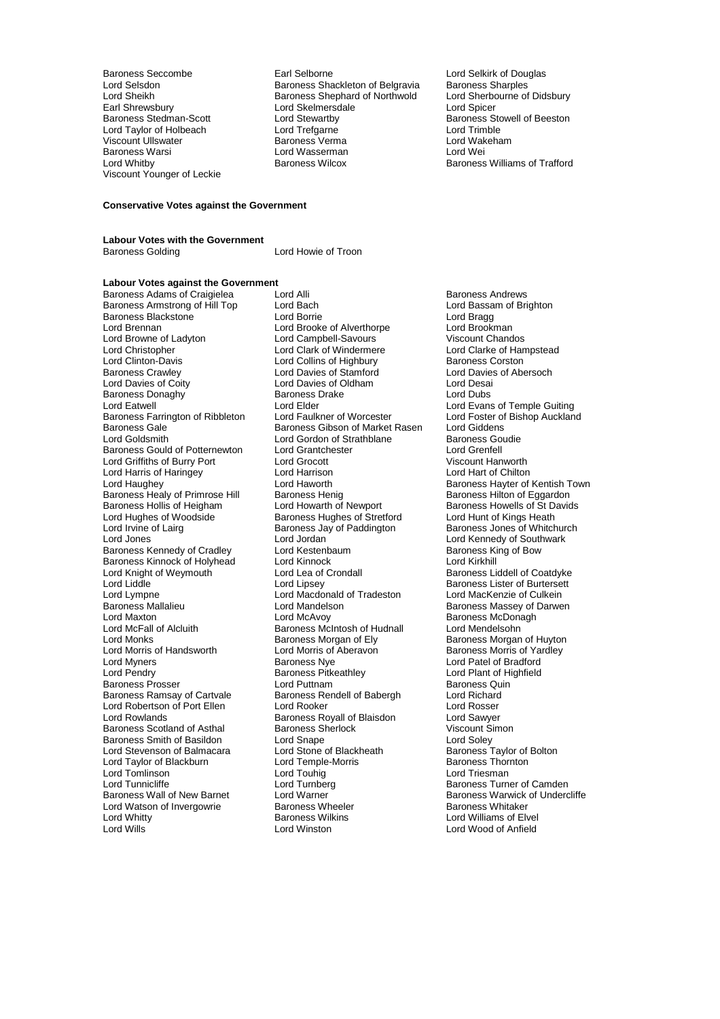Earl Shrewsbury Lord Skelmerschale Lord Skelmerschale Lord Stewartby Baroness Warsi **Lord Wasserman**<br>
Lord Whitby **Contains Container Baroness Wilcox** Viscount Younger of Leckie

Baroness Seccombe **Earl Selborne** Earl Selborne Lord Selkirk of Douglas<br>
Lord Selsdon<br>
Lord Selsdon<br> **Earl Selection of Belgravia**<br>
Baroness Sharples Lord Selsdon Baroness Shackleton of Belgravia Baroness Sharples Baroness Shephard of Northwold Lord Sherbourne Cord Sherbourne of Northwold Lord Sherbourne Order Lord Stewartby **Baroness Stowell of Beeston**<br> **Baroness Stowell of Beeston**<br>
Lord Trimble Lord Taylor of Holbeach Lord Trefgarne Lord Trimble Viscount Ullswater Baroness Verma Lord Wakeham

Baroness Williams of Trafford

#### **Conservative Votes against the Government**

## **Labour Votes with the Government**

Lord Howie of Troon

## **Labour Votes against the Government**

Baroness Armstrong of Hill Top Lord Bach Lord Bassam Correlation Correlation Correlation Branch Branch Branch<br>
Lord Branch Lord Branch Lord Borrelation Correlation Correlation Correlation Correlation Correlation Correlat<br> Baroness Blackstone **Lord Borrie** Lord Borrie **Lord Borrie** Lord Bragg<br>
Lord Brennan **Lord Brook Lord Brook Lord Brookman** Lord Brennan Lord Brooke of Alverthorpe Lord Brookman Lord Browne of Ladyton Lord Campbell-Savours Viscount Chandos<br>
Lord Christopher Channel Lord Clark of Windermere Lord Clarke of Hampstead Lord Christopher **Lord Clark of Windermere** Lord Clarke of Han<br>
Lord Clark of Hampstead Lord Collins of Highbury **Colling Clarke Contract Collins**<br>
Lord Collins of Highbury **Baroness Conston** Lord Clinton-Davis<br>
Baroness Crawley 
Baroness Crawley

Lord Davies of Stamford Baroness Crawley Lord Davies of Stamford Lord Davies of Abersoch Baroness Donaghy Baroness I<br>
Lord Fatwell Lord Elder Baroness Farrington of Ribbleton Lord Faulkner of Worcester Lord Foster of<br>Baroness Gale Baroness Gibson of Market Rasen Lord Giddens Baroness Gale **Baroness Gibson of Market Rasen** Lord Giddens<br>
Lord Goldsmith **Baroness Coudie**<br>
Lord Gordon of Strathblane Baroness Goudie Baroness Gould of Potternewton Lord Grantchester **Lord Grentell**<br>
Lord Griffiths of Burry Port Lord Grocott Lord Grocott Christian Museum Hanworth Lord Griffiths of Burry Port Lord Grocott Cord Cordination Cord Cordination Cord Hanworth<br>
Lord Harris of Haringey Lord Harrison Cord Harrison Lord Harrison Lord Harris of Haringey Lord Harrison<br>
Lord Haughey Lord Haworth Baroness Healy of Primrose Hill Baroness Henig<br>Baroness Hollis of Heigham Lord Howarth of Newport Baroness Hollis of Heigham Lord Howarth of Newport Baroness Howells of St Davids<br>
Lord Hughes of Woodside Baroness Hughes of Stretford Lord Hunt of Kings Heath Lord Hughes of Woodside Baroness Hughes of Stretford<br>
Lord Irvine of Lairg **Baroness Heath Heath Heath Heath** Baroness Jay of Paddington Lord Irvine of Lairg **Baroness Jay of Paddington** Baroness Jones of Whitchurch<br>
Lord Jones **Barones I** ord Jordan **Barones I** ord Kennedy of Southwark Baroness Kennedy of Cradley Lord Kestenbaum and Baroness King Saroness King of Cradley Lord King Cord King Cor<br>Baroness Kinnock of Holyhead Lord Kinnock Cord Cord King Cord Kinkhill Baroness Kinnock of Holyhead Lord Kinnock<br>
Lord Knight of Weymouth Lord Lea of Crondall Lord Knight of Weymouth Lord Lea of Crondall Baroness Liddell of Coatdyke<br>
Lord Liddle Lord Linsey Lord Cupsey Baroness Lister of Burtersett Lord Liddle Lord Lipsey Lord Lipsey Cord Lines Baroness Lister of Burtersett<br>Lord Lord Macdonald of Tradeston Lord MacKenzie of Culkein Lord Lympne Lord Macdonald of Tradeston<br>
Baroness Mallalieu 
Lord Mandelson Baroness Mallalieu Lord Mandelson Baroness Massey of Darwen Lord Maxton **Communist Communist Communist Communist Communist Communist Communist Communist Communist Communist Communist Communist Communist Communist Communist Communist Communist Communist Communist Communist Communist** Lord McFall of Alcluith Baroness McIntosh of Hudnall<br>
Lord Monks Corpus Baroness Morgan of Ely Lord Monks **Baroness Morgan of Ely** Baroness Morgan of Huyton<br>
Lord Morris of Handsworth Lord Morris of Aberavon<br>
Baroness Morris of Yardley Lord Morris of Handsworth Lord Morris of Aberavon<br>
Lord Myners
Baroness Nye Cord Patel of Bradford
Lord Patel of Bradford
Lord Patel of Bradford
Lord Patel of Bradford Lord Myners **Communist Communist Communist Communist Communist Communist Communist Communist Communist Communist**<br>Baroness Pitkeathley **Communist Communist Communist Communist Communist Communist Communist Communist Commun** Baroness Prosser **Lord Puttnam Community Community**<br>Baroness Ramsay of Cartvale Baroness Rendell of Babergh Lord Richard Baroness Ramsay of Cartvale Baroness Rendell of Babergh Lord Richard<br>
Lord Robertson of Port Ellen Lord Rooker Lord Rosser Lord Robertson of Port Ellen Lord Rooker Cord Rosser<br>
Lord Rowlands Cord Care Baroness Royall of Blaisdon Lord Sawyer Baroness Scotland of Asthal Baroness Sherlock Controller Scount Simon State Controller Sherlock Controller Scount Si<br>Baroness Smith of Basildon Controller Controller Controller Scotland Controller Controller Controller Con Baroness Smith of Basildon **Lord Snape** Lord Soley Lord Soley<br>
Lord Stevenson of Balmacara Lord Stone of Blackheath **Baroness Taylor of Bolton** Lord Stevenson of Balmacara Lord Stone of Blackheath Baroness Taylor of Lord Taylor of Lord Temple-Morris Cord Taylor Charoness Thornton Lord Taylor of Blackburn Lord Temple-Morris Baroness Thornton Baroness Thornton Lord Toubia Lord Triesman Lord Tomlinson<br>
Lord Tunnicliffe 
Lord Tunnberg<br>
Lord Tunnberg Lord Tunnicliffe Lord Turnberg Communication Camden<br>Baroness Wall of New Barnet Lord Warner Communication Communication Communication Baroness Warwick of Under Lord Watson of Invergowrie Lord Whitty **Communist Communist Communist Communist Communist Communist Communist Communist Communist Communist Communist Communist Communist Communist Communist Communist Communist Communist Communist Communist Communist** 

Baroness Adams of Craigielea Lord Alli Corporation and Baroness Andrews<br>
Baroness Armstrong of Hill Top Lord Bach Corporation and Baroness Andrews Lord Davies of Oldham Lord Desain<br>Baroness Drake Lord Dubs Lord Elder Lord Evans of Temple Guiting<br>
Lord Faulkner of Worcester Lord Foster of Bishop Auckland Lord Gordon of Strathblane Baroness Go<br>Lord Grantchester Baroness Lord Grenfell Lord Jordan **Lord Kennedy of Southwark**<br>
Lord Kestenbaum<br>
Baroness King of Bow Baroness Pitkeathley **Baroness Pitkeathley** Lord Plant of Highfield<br>
Lord Puttnam<br>
Baroness Quin Baroness Royall of Blaisdon<br>
Baroness Sherlock<br>
Viscount Simon

Lord Haworth **Communist Communist Baroness Hayter of Kentish Town**<br>
Baroness Henig **Baroness Hilton** of Eggardon Lord Warner The Raroness Warwick of Undercliffe<br>Baroness Wheeler Baroness Whitaker Lord Wood of Anfield